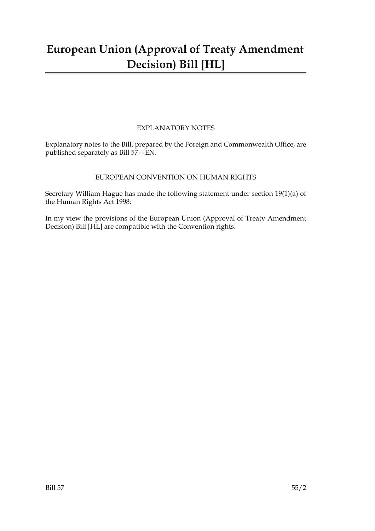# **European Union (Approval of Treaty Amendment Decision) Bill [HL]**

### EXPLANATORY NOTES

Explanatory notes to the Bill, prepared by the Foreign and Commonwealth Office, are published separately as Bill 57—EN.

### EUROPEAN CONVENTION ON HUMAN RIGHTS

Secretary William Hague has made the following statement under section 19(1)(a) of the Human Rights Act 1998:

In my view the provisions of the European Union (Approval of Treaty Amendment Decision) Bill [HL] are compatible with the Convention rights.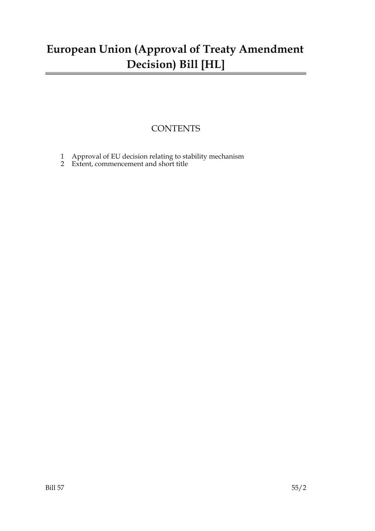# **European Union (Approval of Treaty Amendment Decision) Bill [HL]**

### **CONTENTS**

- 1 Approval of EU decision relating to stability mechanism
- 2 Extent, commencement and short title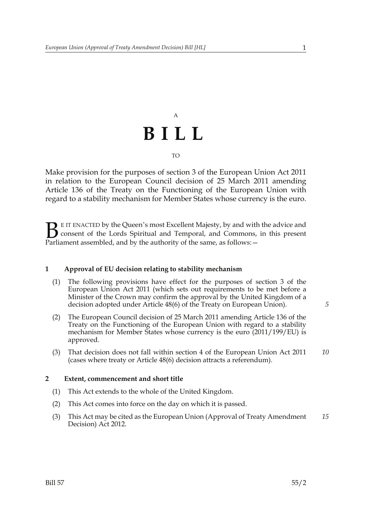# A **BILL** TO

Make provision for the purposes of section 3 of the European Union Act 2011 in relation to the European Council decision of 25 March 2011 amending Article 136 of the Treaty on the Functioning of the European Union with regard to a stability mechanism for Member States whose currency is the euro.

E IT ENACTED by the Queen's most Excellent Majesty, by and with the advice and consent of the Lords Spiritual and Temporal, and Commons, in this present **B** E IT ENACTED by the Queen's most Excellent Majesty, by and with consent of the Lords Spiritual and Temporal, and Commons, Parliament assembled, and by the authority of the same, as follows:  $-$ 

#### **1 Approval of EU decision relating to stability mechanism**

- (1) The following provisions have effect for the purposes of section 3 of the European Union Act 2011 (which sets out requirements to be met before a Minister of the Crown may confirm the approval by the United Kingdom of a decision adopted under Article 48(6) of the Treaty on European Union).
- (2) The European Council decision of 25 March 2011 amending Article 136 of the Treaty on the Functioning of the European Union with regard to a stability mechanism for Member States whose currency is the euro (2011/199/EU) is approved.
- (3) That decision does not fall within section 4 of the European Union Act 2011 (cases where treaty or Article 48(6) decision attracts a referendum). *10*

#### **2 Extent, commencement and short title**

- (1) This Act extends to the whole of the United Kingdom.
- (2) This Act comes into force on the day on which it is passed.
- (3) This Act may be cited as the European Union (Approval of Treaty Amendment Decision) Act 2012. *15*